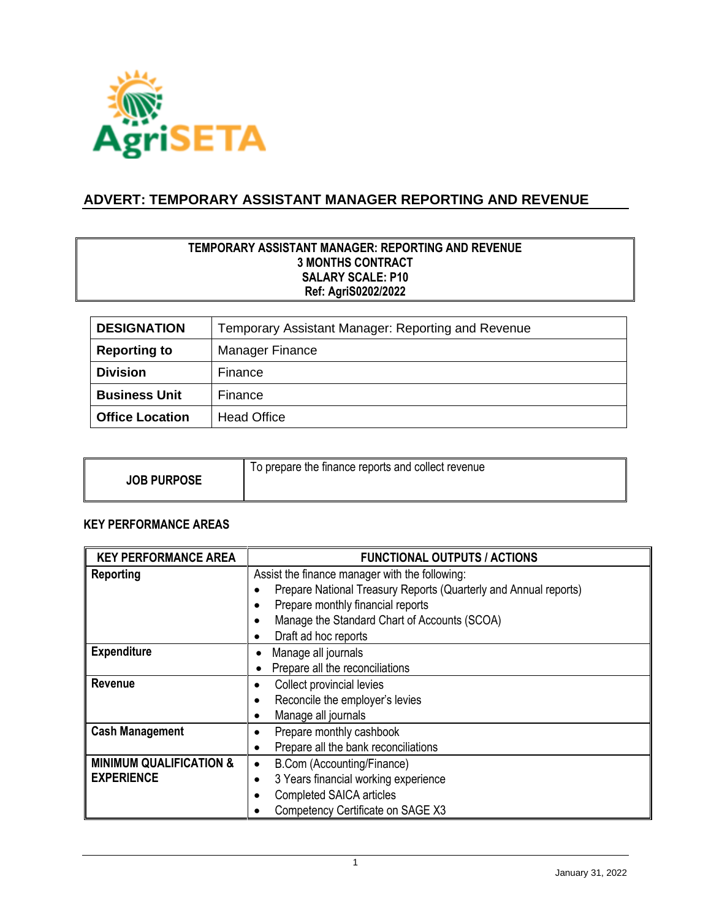

# **ADVERT: TEMPORARY ASSISTANT MANAGER REPORTING AND REVENUE**

### **TEMPORARY ASSISTANT MANAGER: REPORTING AND REVENUE 3 MONTHS CONTRACT SALARY SCALE: P10 Ref: AgriS0202/2022**

| <b>DESIGNATION</b>     | Temporary Assistant Manager: Reporting and Revenue |  |
|------------------------|----------------------------------------------------|--|
| <b>Reporting to</b>    | <b>Manager Finance</b>                             |  |
| <b>Division</b>        | Finance                                            |  |
| <b>Business Unit</b>   | Finance                                            |  |
| <b>Office Location</b> | <b>Head Office</b>                                 |  |

| <b>JOB PURPOSE</b> | To prepare the finance reports and collect revenue |
|--------------------|----------------------------------------------------|
|--------------------|----------------------------------------------------|

## **KEY PERFORMANCE AREAS**

| <b>KEY PERFORMANCE AREA</b>        | <b>FUNCTIONAL OUTPUTS / ACTIONS</b>                              |  |
|------------------------------------|------------------------------------------------------------------|--|
| Reporting                          | Assist the finance manager with the following:                   |  |
|                                    | Prepare National Treasury Reports (Quarterly and Annual reports) |  |
|                                    | Prepare monthly financial reports                                |  |
|                                    | Manage the Standard Chart of Accounts (SCOA)                     |  |
|                                    | Draft ad hoc reports                                             |  |
| <b>Expenditure</b>                 | Manage all journals                                              |  |
|                                    | Prepare all the reconciliations                                  |  |
| <b>Revenue</b>                     | Collect provincial levies                                        |  |
|                                    | Reconcile the employer's levies                                  |  |
|                                    | Manage all journals                                              |  |
| <b>Cash Management</b>             | Prepare monthly cashbook                                         |  |
|                                    | Prepare all the bank reconciliations                             |  |
| <b>MINIMUM QUALIFICATION &amp;</b> | B.Com (Accounting/Finance)                                       |  |
| <b>EXPERIENCE</b>                  | 3 Years financial working experience                             |  |
|                                    | <b>Completed SAICA articles</b>                                  |  |
|                                    | Competency Certificate on SAGE X3                                |  |